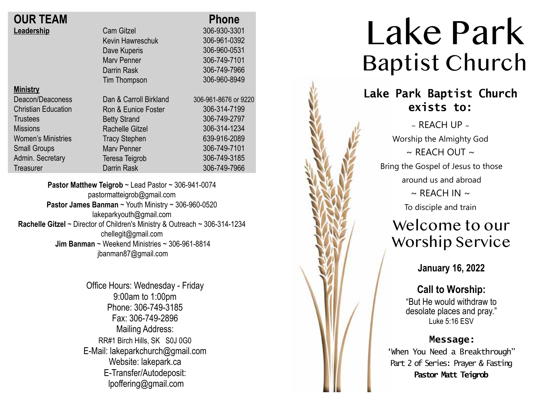| <b>OUR TEAM</b>            |                        | <b>Phone</b>         |
|----------------------------|------------------------|----------------------|
| Leadership                 | <b>Cam Gitzel</b>      | 306-930-3301         |
|                            | Kevin Hawreschuk       | 306-961-0392         |
|                            | Dave Kuperis           | 306-960-0531         |
|                            | <b>Mary Penner</b>     | 306-749-7101         |
|                            | Darrin Rask            | 306-749-7966         |
|                            | Tim Thompson           | 306-960-8949         |
| <b>Ministry</b>            |                        |                      |
| Deacon/Deaconess           | Dan & Carroll Birkland | 306-961-8676 or 9220 |
| <b>Christian Education</b> | Ron & Eunice Foster    | 306-314-7199         |
| <b>Trustees</b>            | <b>Betty Strand</b>    | 306-749-2797         |
| <b>Missions</b>            | <b>Rachelle Gitzel</b> | 306-314-1234         |
| <b>Women's Ministries</b>  | <b>Tracy Stephen</b>   | 639-916-2089         |
| <b>Small Groups</b>        | <b>Mary Penner</b>     | 306-749-7101         |
| Admin. Secretary           | Teresa Teigrob         | 306-749-3185         |
| Treasurer                  | <b>Darrin Rask</b>     | 306-749-7966         |
|                            |                        |                      |

**Pastor Matthew Teigrob** ~ Lead Pastor ~ 306-941-0074 pastormatteigrob@gmail.com **Pastor James Banman** ~ Youth Ministry ~ 306-960-0520 lakeparkyouth@gmail.com **Rachelle Gitzel** ~ Director of Children's Ministry & Outreach ~ 306-314-1234 chellegit@gmail.com  **Jim Banman** ~ Weekend Ministries ~ 306-961-8814 jbanman87@gmail.com

> Office Hours: Wednesday - Friday 9:00am to 1:00pm Phone: 306-749-3185 Fax: 306-749-2896 Mailing Address: RR#1 Birch Hills, SK S0J 0G0 E-Mail: lakeparkchurch@gmail.com Website: lakepark.ca E-Transfer/Autodeposit: lpoffering@gmail.com